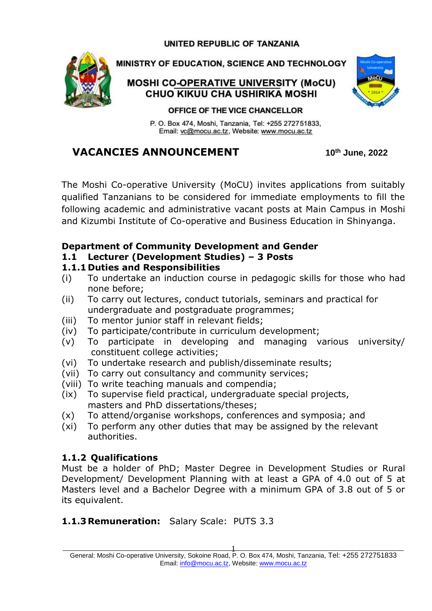#### UNITED REPUBLIC OF TANZANIA



MINISTRY OF EDUCATION, SCIENCE AND TECHNOLOGY

#### **MOSHI CO-OPERATIVE UNIVERSITY (MoCU)** CHUO KIKUU CHA USHIRIKA MOSHI



#### OFFICE OF THE VICE CHANCELLOR

P. O. Box 474, Moshi, Tanzania, Tel: +255 272751833, Email: vc@mocu.ac.tz, Website: www.mocu.ac.tz

## **VACANCIES ANNOUNCEMENT 10th June, 2022**

The Moshi Co-operative University (MoCU) invites applications from suitably qualified Tanzanians to be considered for immediate employments to fill the following academic and administrative vacant posts at Main Campus in Moshi and Kizumbi Institute of Co-operative and Business Education in Shinyanga.

#### **Department of Community Development and Gender**

**1.1 Lecturer (Development Studies) – 3 Posts**

#### **1.1.1 Duties and Responsibilities**

- (i) To undertake an induction course in pedagogic skills for those who had none before;
- (ii) To carry out lectures, conduct tutorials, seminars and practical for undergraduate and postgraduate programmes;
- (iii) To mentor junior staff in relevant fields;
- (iv) To participate/contribute in curriculum development;
- (v) To participate in developing and managing various university/ constituent college activities;
- (vi) To undertake research and publish/disseminate results;
- (vii) To carry out consultancy and community services;
- (viii) To write teaching manuals and compendia;
- (ix) To supervise field practical, undergraduate special projects, masters and PhD dissertations/theses;
- (x) To attend/organise workshops, conferences and symposia; and
- (xi) To perform any other duties that may be assigned by the relevant authorities.

#### **1.1.2 Qualifications**

Must be a holder of PhD; Master Degree in Development Studies or Rural Development/ Development Planning with at least a GPA of 4.0 out of 5 at Masters level and a Bachelor Degree with a minimum GPA of 3.8 out of 5 or its equivalent.

#### **1.1.3Remuneration:** Salary Scale: PUTS 3.3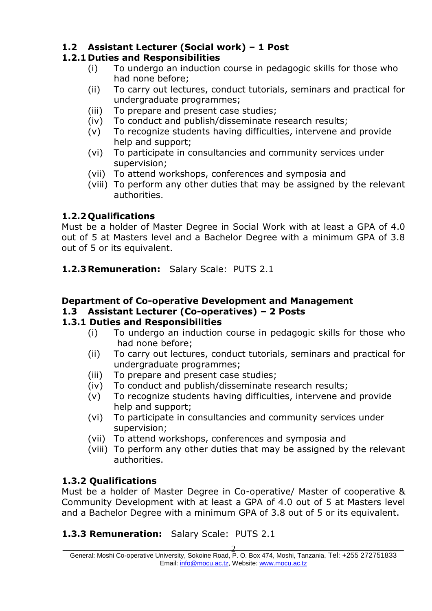## **1.2 Assistant Lecturer (Social work) – 1 Post**

## **1.2.1 Duties and Responsibilities**

- (i) To undergo an induction course in pedagogic skills for those who had none before;
- (ii) To carry out lectures, conduct tutorials, seminars and practical for undergraduate programmes;
- (iii) To prepare and present case studies;
- (iv) To conduct and publish/disseminate research results;
- (v) To recognize students having difficulties, intervene and provide help and support;
- (vi) To participate in consultancies and community services under supervision;
- (vii) To attend workshops, conferences and symposia and
- (viii) To perform any other duties that may be assigned by the relevant authorities.

## **1.2.2 Qualifications**

Must be a holder of Master Degree in Social Work with at least a GPA of 4.0 out of 5 at Masters level and a Bachelor Degree with a minimum GPA of 3.8 out of 5 or its equivalent.

**1.2.3Remuneration:** Salary Scale: PUTS 2.1

## **Department of Co-operative Development and Management**

#### **1.3 Assistant Lecturer (Co-operatives) – 2 Posts**

#### **1.3.1 Duties and Responsibilities**

- (i) To undergo an induction course in pedagogic skills for those who had none before;
- (ii) To carry out lectures, conduct tutorials, seminars and practical for undergraduate programmes;
- (iii) To prepare and present case studies;
- (iv) To conduct and publish/disseminate research results;
- (v) To recognize students having difficulties, intervene and provide help and support;
- (vi) To participate in consultancies and community services under supervision;
- (vii) To attend workshops, conferences and symposia and
- (viii) To perform any other duties that may be assigned by the relevant authorities.

## **1.3.2 Qualifications**

Must be a holder of Master Degree in Co-operative/ Master of cooperative & Community Development with at least a GPA of 4.0 out of 5 at Masters level and a Bachelor Degree with a minimum GPA of 3.8 out of 5 or its equivalent.

## **1.3.3 Remuneration:** Salary Scale: PUTS 2.1

 $\overline{\phantom{a}}$  , and the contract of the contract of  $\overline{\phantom{a}}$  , and  $\overline{\phantom{a}}$  , and  $\overline{\phantom{a}}$  , and  $\overline{\phantom{a}}$  , and  $\overline{\phantom{a}}$  , and  $\overline{\phantom{a}}$  , and  $\overline{\phantom{a}}$  , and  $\overline{\phantom{a}}$  , and  $\overline{\phantom{a}}$  , and  $\overline{\phantom{a$ General: Moshi Co-operative University, Sokoine Road, P. O. Box 474, Moshi, Tanzania, Tel: +255 272751833 Email: [info@mocu.ac.tz,](mailto:info@mocu.ac.tz) Website[: www.mocu.ac.tz](http://www.mocu.ac.tz/) 2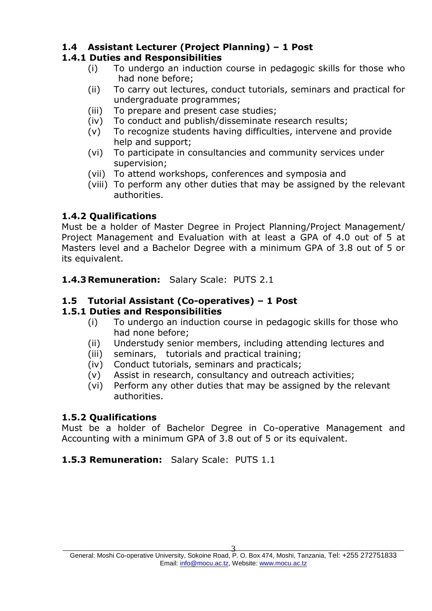## **1.4 Assistant Lecturer (Project Planning) – 1 Post**

#### **1.4.1 Duties and Responsibilities**

- (i) To undergo an induction course in pedagogic skills for those who had none before;
- (ii) To carry out lectures, conduct tutorials, seminars and practical for undergraduate programmes;
- (iii) To prepare and present case studies;
- (iv) To conduct and publish/disseminate research results;
- (v) To recognize students having difficulties, intervene and provide help and support;
- (vi) To participate in consultancies and community services under supervision;
- (vii) To attend workshops, conferences and symposia and
- (viii) To perform any other duties that may be assigned by the relevant authorities.

#### **1.4.2 Qualifications**

Must be a holder of Master Degree in Project Planning/Project Management/ Project Management and Evaluation with at least a GPA of 4.0 out of 5 at Masters level and a Bachelor Degree with a minimum GPA of 3.8 out of 5 or its equivalent.

**1.4.3Remuneration:** Salary Scale: PUTS 2.1

#### **1.5 Tutorial Assistant (Co-operatives) – 1 Post**

#### **1.5.1 Duties and Responsibilities**

- (i) To undergo an induction course in pedagogic skills for those who had none before;
- (ii) Understudy senior members, including attending lectures and
- (iii) seminars, tutorials and practical training;
- (iv) Conduct tutorials, seminars and practicals;
- (v) Assist in research, consultancy and outreach activities;
- (vi) Perform any other duties that may be assigned by the relevant authorities.

#### **1.5.2 Qualifications**

Must be a holder of Bachelor Degree in Co-operative Management and Accounting with a minimum GPA of 3.8 out of 5 or its equivalent.

#### **1.5.3 Remuneration:** Salary Scale: PUTS 1.1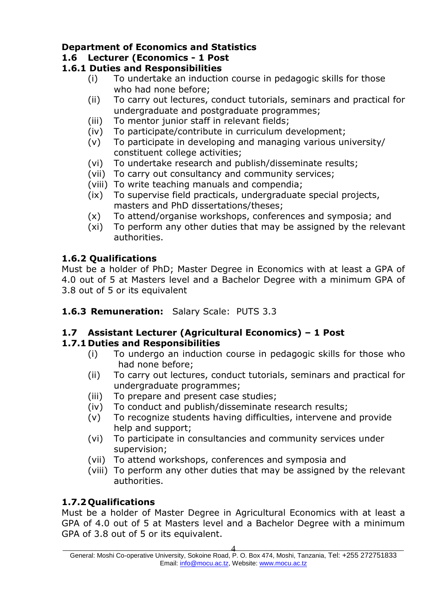## **Department of Economics and Statistics**

## **1.6 Lecturer (Economics - 1 Post**

#### **1.6.1 Duties and Responsibilities**

- (i) To undertake an induction course in pedagogic skills for those who had none before;
- (ii) To carry out lectures, conduct tutorials, seminars and practical for undergraduate and postgraduate programmes;
- (iii) To mentor junior staff in relevant fields;
- (iv) To participate/contribute in curriculum development;
- (v) To participate in developing and managing various university/ constituent college activities;
- (vi) To undertake research and publish/disseminate results;
- (vii) To carry out consultancy and community services;
- (viii) To write teaching manuals and compendia;
- (ix) To supervise field practicals, undergraduate special projects, masters and PhD dissertations/theses;
- (x) To attend/organise workshops, conferences and symposia; and
- (xi) To perform any other duties that may be assigned by the relevant authorities.

## **1.6.2 Qualifications**

Must be a holder of PhD; Master Degree in Economics with at least a GPA of 4.0 out of 5 at Masters level and a Bachelor Degree with a minimum GPA of 3.8 out of 5 or its equivalent

**1.6.3 Remuneration:** Salary Scale: PUTS 3.3

## **1.7 Assistant Lecturer (Agricultural Economics) – 1 Post**

## **1.7.1 Duties and Responsibilities**

- (i) To undergo an induction course in pedagogic skills for those who had none before;
- (ii) To carry out lectures, conduct tutorials, seminars and practical for undergraduate programmes;
- (iii) To prepare and present case studies;
- (iv) To conduct and publish/disseminate research results;
- (v) To recognize students having difficulties, intervene and provide help and support;
- (vi) To participate in consultancies and community services under supervision;
- (vii) To attend workshops, conferences and symposia and
- (viii) To perform any other duties that may be assigned by the relevant authorities.

## **1.7.2 Qualifications**

Must be a holder of Master Degree in Agricultural Economics with at least a GPA of 4.0 out of 5 at Masters level and a Bachelor Degree with a minimum GPA of 3.8 out of 5 or its equivalent.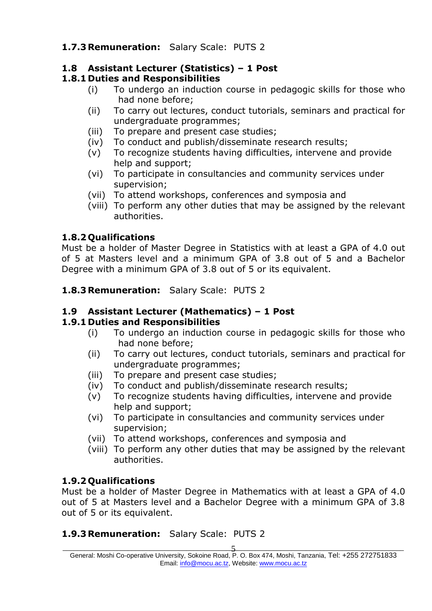## **1.7.3Remuneration:** Salary Scale: PUTS 2

## **1.8 Assistant Lecturer (Statistics) – 1 Post**

## **1.8.1 Duties and Responsibilities**

- (i) To undergo an induction course in pedagogic skills for those who had none before;
- (ii) To carry out lectures, conduct tutorials, seminars and practical for undergraduate programmes;
- (iii) To prepare and present case studies;
- (iv) To conduct and publish/disseminate research results;
- (v) To recognize students having difficulties, intervene and provide help and support;
- (vi) To participate in consultancies and community services under supervision;
- (vii) To attend workshops, conferences and symposia and
- (viii) To perform any other duties that may be assigned by the relevant authorities.

## **1.8.2 Qualifications**

Must be a holder of Master Degree in Statistics with at least a GPA of 4.0 out of 5 at Masters level and a minimum GPA of 3.8 out of 5 and a Bachelor Degree with a minimum GPA of 3.8 out of 5 or its equivalent.

**1.8.3Remuneration:** Salary Scale: PUTS 2

#### **1.9 Assistant Lecturer (Mathematics) – 1 Post**

#### **1.9.1 Duties and Responsibilities**

- (i) To undergo an induction course in pedagogic skills for those who had none before;
- (ii) To carry out lectures, conduct tutorials, seminars and practical for undergraduate programmes;
- (iii) To prepare and present case studies;
- (iv) To conduct and publish/disseminate research results;
- (v) To recognize students having difficulties, intervene and provide help and support;
- (vi) To participate in consultancies and community services under supervision;
- (vii) To attend workshops, conferences and symposia and
- (viii) To perform any other duties that may be assigned by the relevant authorities.

#### **1.9.2 Qualifications**

Must be a holder of Master Degree in Mathematics with at least a GPA of 4.0 out of 5 at Masters level and a Bachelor Degree with a minimum GPA of 3.8 out of 5 or its equivalent.

#### **1.9.3Remuneration:** Salary Scale: PUTS 2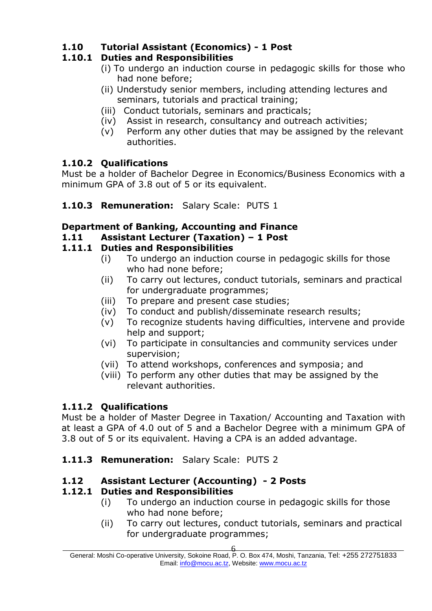## **1.10 Tutorial Assistant (Economics) - 1 Post**

## **1.10.1 Duties and Responsibilities**

- (i) To undergo an induction course in pedagogic skills for those who had none before;
- (ii) Understudy senior members, including attending lectures and seminars, tutorials and practical training;
- (iii) Conduct tutorials, seminars and practicals;
- (iv) Assist in research, consultancy and outreach activities;
- (v) Perform any other duties that may be assigned by the relevant authorities.

## **1.10.2 Qualifications**

Must be a holder of Bachelor Degree in Economics/Business Economics with a minimum GPA of 3.8 out of 5 or its equivalent.

#### **1.10.3 Remuneration:** Salary Scale: PUTS 1

#### **Department of Banking, Accounting and Finance**

#### **1.11 Assistant Lecturer (Taxation) – 1 Post**

#### **1.11.1 Duties and Responsibilities**

- (i) To undergo an induction course in pedagogic skills for those who had none before;
- (ii) To carry out lectures, conduct tutorials, seminars and practical for undergraduate programmes;
- (iii) To prepare and present case studies;
- (iv) To conduct and publish/disseminate research results;
- (v) To recognize students having difficulties, intervene and provide help and support;
- (vi) To participate in consultancies and community services under supervision;
- (vii) To attend workshops, conferences and symposia; and
- (viii) To perform any other duties that may be assigned by the relevant authorities.

#### **1.11.2 Qualifications**

Must be a holder of Master Degree in Taxation/ Accounting and Taxation with at least a GPA of 4.0 out of 5 and a Bachelor Degree with a minimum GPA of 3.8 out of 5 or its equivalent. Having a CPA is an added advantage.

**1.11.3 Remuneration:** Salary Scale: PUTS 2

#### **1.12 Assistant Lecturer (Accounting) - 2 Posts**

#### **1.12.1 Duties and Responsibilities**

- (i) To undergo an induction course in pedagogic skills for those who had none before;
- (ii) To carry out lectures, conduct tutorials, seminars and practical for undergraduate programmes;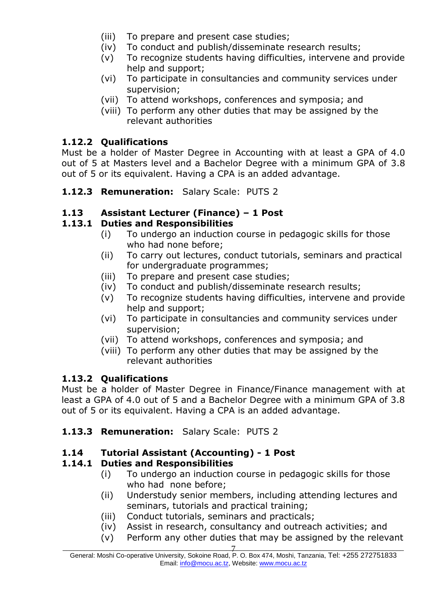- (iii) To prepare and present case studies;
- (iv) To conduct and publish/disseminate research results;
- (v) To recognize students having difficulties, intervene and provide help and support;
- (vi) To participate in consultancies and community services under supervision;
- (vii) To attend workshops, conferences and symposia; and
- (viii) To perform any other duties that may be assigned by the relevant authorities

## **1.12.2 Qualifications**

Must be a holder of Master Degree in Accounting with at least a GPA of 4.0 out of 5 at Masters level and a Bachelor Degree with a minimum GPA of 3.8 out of 5 or its equivalent. Having a CPA is an added advantage.

**1.12.3 Remuneration:** Salary Scale: PUTS 2

## **1.13 Assistant Lecturer (Finance) – 1 Post**

#### **1.13.1 Duties and Responsibilities**

- (i) To undergo an induction course in pedagogic skills for those who had none before;
- (ii) To carry out lectures, conduct tutorials, seminars and practical for undergraduate programmes;
- (iii) To prepare and present case studies;
- (iv) To conduct and publish/disseminate research results;
- (v) To recognize students having difficulties, intervene and provide help and support;
- (vi) To participate in consultancies and community services under supervision;
- (vii) To attend workshops, conferences and symposia; and
- (viii) To perform any other duties that may be assigned by the relevant authorities

#### **1.13.2 Qualifications**

Must be a holder of Master Degree in Finance/Finance management with at least a GPA of 4.0 out of 5 and a Bachelor Degree with a minimum GPA of 3.8 out of 5 or its equivalent. Having a CPA is an added advantage.

#### **1.13.3 Remuneration:** Salary Scale: PUTS 2

#### **1.14 Tutorial Assistant (Accounting) - 1 Post**

## **1.14.1 Duties and Responsibilities**

- (i) To undergo an induction course in pedagogic skills for those who had none before;
- (ii) Understudy senior members, including attending lectures and seminars, tutorials and practical training;
- (iii) Conduct tutorials, seminars and practicals;
- (iv) Assist in research, consultancy and outreach activities; and
- (v) Perform any other duties that may be assigned by the relevant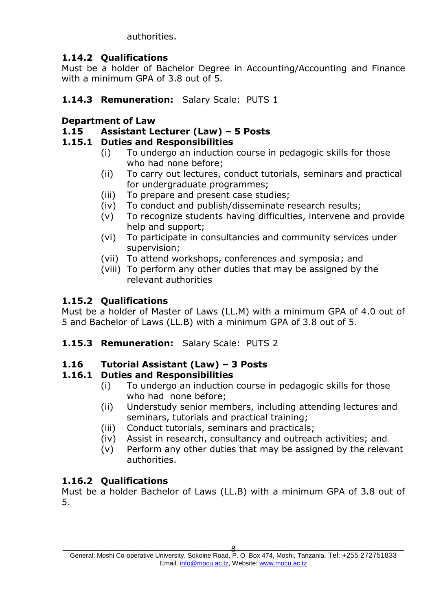authorities.

## **1.14.2 Qualifications**

Must be a holder of Bachelor Degree in Accounting/Accounting and Finance with a minimum GPA of 3.8 out of 5.

## **1.14.3 Remuneration:** Salary Scale: PUTS 1

## **Department of Law**

## **1.15 Assistant Lecturer (Law) – 5 Posts**

#### **1.15.1 Duties and Responsibilities**

- (i) To undergo an induction course in pedagogic skills for those who had none before;
- (ii) To carry out lectures, conduct tutorials, seminars and practical for undergraduate programmes;
- (iii) To prepare and present case studies;
- (iv) To conduct and publish/disseminate research results;
- (v) To recognize students having difficulties, intervene and provide help and support;
- (vi) To participate in consultancies and community services under supervision;
- (vii) To attend workshops, conferences and symposia; and
- (viii) To perform any other duties that may be assigned by the relevant authorities

## **1.15.2 Qualifications**

Must be a holder of Master of Laws (LL.M) with a minimum GPA of 4.0 out of 5 and Bachelor of Laws (LL.B) with a minimum GPA of 3.8 out of 5.

**1.15.3 Remuneration:** Salary Scale: PUTS 2

#### **1.16 Tutorial Assistant (Law) – 3 Posts**

#### **1.16.1 Duties and Responsibilities**

- (i) To undergo an induction course in pedagogic skills for those who had none before;
- (ii) Understudy senior members, including attending lectures and seminars, tutorials and practical training;
- (iii) Conduct tutorials, seminars and practicals;
- (iv) Assist in research, consultancy and outreach activities; and
- (v) Perform any other duties that may be assigned by the relevant authorities.

## **1.16.2 Qualifications**

Must be a holder Bachelor of Laws (LL.B) with a minimum GPA of 3.8 out of 5.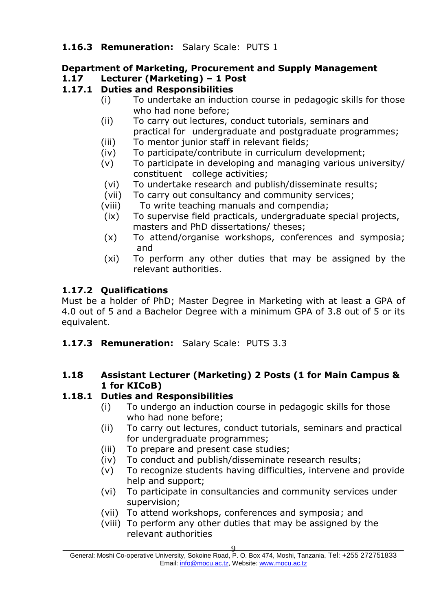#### **1.16.3 Remuneration:** Salary Scale: PUTS 1

# **Department of Marketing, Procurement and Supply Management**

# **1.17 Lecturer (Marketing) – 1 Post**

## **1.17.1 Duties and Responsibilities**

- (i) To undertake an induction course in pedagogic skills for those who had none before;
- (ii) To carry out lectures, conduct tutorials, seminars and practical for undergraduate and postgraduate programmes;
- (iii) To mentor junior staff in relevant fields;
- (iv) To participate/contribute in curriculum development;
- (v) To participate in developing and managing various university/ constituent college activities;
- (vi) To undertake research and publish/disseminate results;
- (vii) To carry out consultancy and community services;
- (viii) To write teaching manuals and compendia;
- (ix) To supervise field practicals, undergraduate special projects, masters and PhD dissertations/ theses;
- (x) To attend/organise workshops, conferences and symposia; and
- (xi) To perform any other duties that may be assigned by the relevant authorities.

## **1.17.2 Qualifications**

Must be a holder of PhD; Master Degree in Marketing with at least a GPA of 4.0 out of 5 and a Bachelor Degree with a minimum GPA of 3.8 out of 5 or its equivalent.

**1.17.3 Remuneration:** Salary Scale: PUTS 3.3

#### **1.18 Assistant Lecturer (Marketing) 2 Posts (1 for Main Campus & 1 for KICoB)**

## **1.18.1 Duties and Responsibilities**

- (i) To undergo an induction course in pedagogic skills for those who had none before;
- (ii) To carry out lectures, conduct tutorials, seminars and practical for undergraduate programmes;
- (iii) To prepare and present case studies;
- (iv) To conduct and publish/disseminate research results;
- (v) To recognize students having difficulties, intervene and provide help and support:
- (vi) To participate in consultancies and community services under supervision;
- (vii) To attend workshops, conferences and symposia; and
- (viii) To perform any other duties that may be assigned by the relevant authorities

 $\overline{9}$  , and the contract of the contract of  $\overline{9}$  , and the contract of the contract of the contract of the contract of the contract of the contract of the contract of the contract of the contract of the contract of General: Moshi Co-operative University, Sokoine Road, P. O. Box 474, Moshi, Tanzania, Tel: +255 272751833 Email: [info@mocu.ac.tz,](mailto:info@mocu.ac.tz) Website[: www.mocu.ac.tz](http://www.mocu.ac.tz/)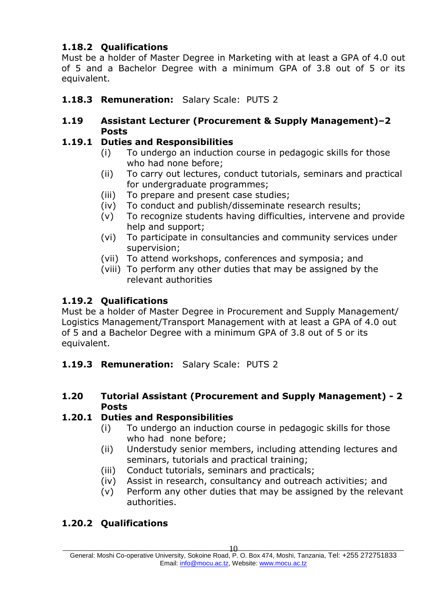## **1.18.2 Qualifications**

Must be a holder of Master Degree in Marketing with at least a GPA of 4.0 out of 5 and a Bachelor Degree with a minimum GPA of 3.8 out of 5 or its equivalent.

## **1.18.3 Remuneration:** Salary Scale: PUTS 2

#### **1.19 Assistant Lecturer (Procurement & Supply Management)–2 Posts**

#### **1.19.1 Duties and Responsibilities**

- (i) To undergo an induction course in pedagogic skills for those who had none before;
- (ii) To carry out lectures, conduct tutorials, seminars and practical for undergraduate programmes;
- (iii) To prepare and present case studies;
- (iv) To conduct and publish/disseminate research results;
- (v) To recognize students having difficulties, intervene and provide help and support;
- (vi) To participate in consultancies and community services under supervision;
- (vii) To attend workshops, conferences and symposia; and
- (viii) To perform any other duties that may be assigned by the relevant authorities

## **1.19.2 Qualifications**

Must be a holder of Master Degree in Procurement and Supply Management/ Logistics Management/Transport Management with at least a GPA of 4.0 out of 5 and a Bachelor Degree with a minimum GPA of 3.8 out of 5 or its equivalent.

- **1.19.3 Remuneration:** Salary Scale: PUTS 2
- **1.20 Tutorial Assistant (Procurement and Supply Management) - 2 Posts**

#### **1.20.1 Duties and Responsibilities**

- (i) To undergo an induction course in pedagogic skills for those who had none before;
- (ii) Understudy senior members, including attending lectures and seminars, tutorials and practical training;
- (iii) Conduct tutorials, seminars and practicals;
- (iv) Assist in research, consultancy and outreach activities; and
- (v) Perform any other duties that may be assigned by the relevant authorities.

## **1.20.2 Qualifications**

General: Moshi Co-operative University, Sokoine Road, P. O. Box 474, Moshi, Tanzania, Tel: +255 272751833 Email: [info@mocu.ac.tz,](mailto:info@mocu.ac.tz) Website[: www.mocu.ac.tz](http://www.mocu.ac.tz/)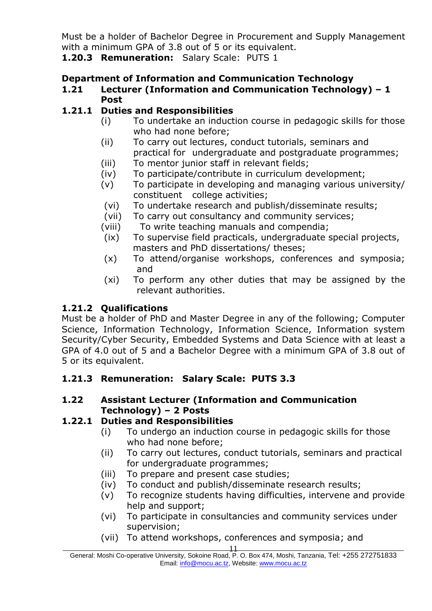Must be a holder of Bachelor Degree in Procurement and Supply Management with a minimum GPA of 3.8 out of 5 or its equivalent.

**1.20.3 Remuneration:** Salary Scale: PUTS 1

#### **Department of Information and Communication Technology**

**1.21 Lecturer (Information and Communication Technology) – 1 Post**

## **1.21.1 Duties and Responsibilities**

- (i) To undertake an induction course in pedagogic skills for those who had none before;
- (ii) To carry out lectures, conduct tutorials, seminars and practical for undergraduate and postgraduate programmes;
- (iii) To mentor junior staff in relevant fields;
- (iv) To participate/contribute in curriculum development;
- (v) To participate in developing and managing various university/ constituent college activities;
- (vi) To undertake research and publish/disseminate results;
- (vii) To carry out consultancy and community services;
- (viii) To write teaching manuals and compendia;
- (ix) To supervise field practicals, undergraduate special projects, masters and PhD dissertations/ theses;
- (x) To attend/organise workshops, conferences and symposia; and
- (xi) To perform any other duties that may be assigned by the relevant authorities.

#### **1.21.2 Qualifications**

Must be a holder of PhD and Master Degree in any of the following; Computer Science, Information Technology, Information Science, Information system Security/Cyber Security, Embedded Systems and Data Science with at least a GPA of 4.0 out of 5 and a Bachelor Degree with a minimum GPA of 3.8 out of 5 or its equivalent.

#### **1.21.3 Remuneration: Salary Scale: PUTS 3.3**

#### **1.22 Assistant Lecturer (Information and Communication Technology) – 2 Posts**

#### **1.22.1 Duties and Responsibilities**

- (i) To undergo an induction course in pedagogic skills for those who had none before;
- (ii) To carry out lectures, conduct tutorials, seminars and practical for undergraduate programmes;
- (iii) To prepare and present case studies;
- (iv) To conduct and publish/disseminate research results;
- (v) To recognize students having difficulties, intervene and provide help and support;
- (vi) To participate in consultancies and community services under supervision;
- (vii) To attend workshops, conferences and symposia; and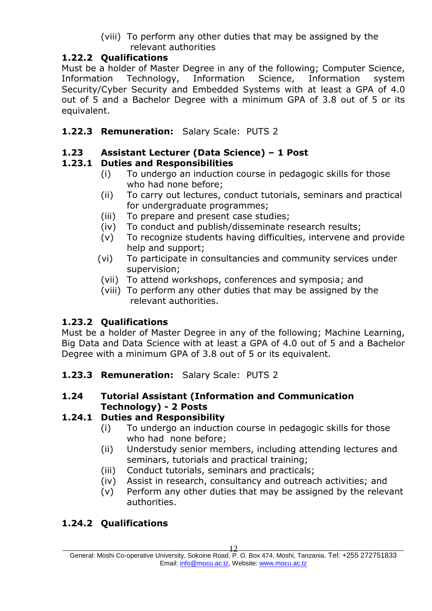(viii) To perform any other duties that may be assigned by the relevant authorities

#### **1.22.2 Qualifications**

Must be a holder of Master Degree in any of the following; Computer Science, Information Technology, Information Science, Information system Security/Cyber Security and Embedded Systems with at least a GPA of 4.0 out of 5 and a Bachelor Degree with a minimum GPA of 3.8 out of 5 or its equivalent.

#### **1.22.3 Remuneration:** Salary Scale: PUTS 2

## **1.23 Assistant Lecturer (Data Science) – 1 Post**

## **1.23.1 Duties and Responsibilities**

- (i) To undergo an induction course in pedagogic skills for those who had none before;
- (ii) To carry out lectures, conduct tutorials, seminars and practical for undergraduate programmes;
- (iii) To prepare and present case studies;
- (iv) To conduct and publish/disseminate research results;
- (v) To recognize students having difficulties, intervene and provide help and support;
- (vi) To participate in consultancies and community services under supervision;
- (vii) To attend workshops, conferences and symposia; and
- (viii) To perform any other duties that may be assigned by the relevant authorities.

#### **1.23.2 Qualifications**

Must be a holder of Master Degree in any of the following; Machine Learning, Big Data and Data Science with at least a GPA of 4.0 out of 5 and a Bachelor Degree with a minimum GPA of 3.8 out of 5 or its equivalent.

**1.23.3 Remuneration:** Salary Scale: PUTS 2

#### **1.24 Tutorial Assistant (Information and Communication Technology) - 2 Posts**

#### **1.24.1 Duties and Responsibility**

- (i) To undergo an induction course in pedagogic skills for those who had none before;
- (ii) Understudy senior members, including attending lectures and seminars, tutorials and practical training;
- (iii) Conduct tutorials, seminars and practicals;
- (iv) Assist in research, consultancy and outreach activities; and
- (v) Perform any other duties that may be assigned by the relevant authorities.

## **1.24.2 Qualifications**

General: Moshi Co-operative University, Sokoine Road, P. O. Box 474, Moshi, Tanzania, Tel: +255 272751833 Email: [info@mocu.ac.tz,](mailto:info@mocu.ac.tz) Website[: www.mocu.ac.tz](http://www.mocu.ac.tz/)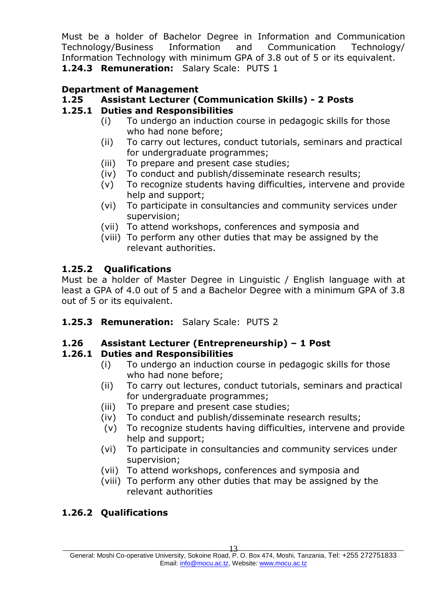Must be a holder of Bachelor Degree in Information and Communication Technology/Business Information and Communication Technology/ Information Technology with minimum GPA of 3.8 out of 5 or its equivalent. **1.24.3 Remuneration:** Salary Scale: PUTS 1

#### **Department of Management**

#### **1.25 Assistant Lecturer (Communication Skills) - 2 Posts**

#### **1.25.1 Duties and Responsibilities**

- (i) To undergo an induction course in pedagogic skills for those who had none before;
- (ii) To carry out lectures, conduct tutorials, seminars and practical for undergraduate programmes;
- (iii) To prepare and present case studies;
- (iv) To conduct and publish/disseminate research results;
- (v) To recognize students having difficulties, intervene and provide help and support;
- (vi) To participate in consultancies and community services under supervision;
- (vii) To attend workshops, conferences and symposia and
- (viii) To perform any other duties that may be assigned by the relevant authorities.

#### **1.25.2 Qualifications**

Must be a holder of Master Degree in Linguistic / English language with at least a GPA of 4.0 out of 5 and a Bachelor Degree with a minimum GPA of 3.8 out of 5 or its equivalent.

**1.25.3 Remuneration:** Salary Scale: PUTS 2

#### **1.26 Assistant Lecturer (Entrepreneurship) – 1 Post**

#### **1.26.1 Duties and Responsibilities**

- (i) To undergo an induction course in pedagogic skills for those who had none before;
- (ii) To carry out lectures, conduct tutorials, seminars and practical for undergraduate programmes;
- (iii) To prepare and present case studies;
- (iv) To conduct and publish/disseminate research results;
- (v) To recognize students having difficulties, intervene and provide help and support;
- (vi) To participate in consultancies and community services under supervision;
- (vii) To attend workshops, conferences and symposia and
- (viii) To perform any other duties that may be assigned by the relevant authorities

#### **1.26.2 Qualifications**

General: Moshi Co-operative University, Sokoine Road, P. O. Box 474, Moshi, Tanzania, Tel: +255 272751833 Email: [info@mocu.ac.tz,](mailto:info@mocu.ac.tz) Website[: www.mocu.ac.tz](http://www.mocu.ac.tz/)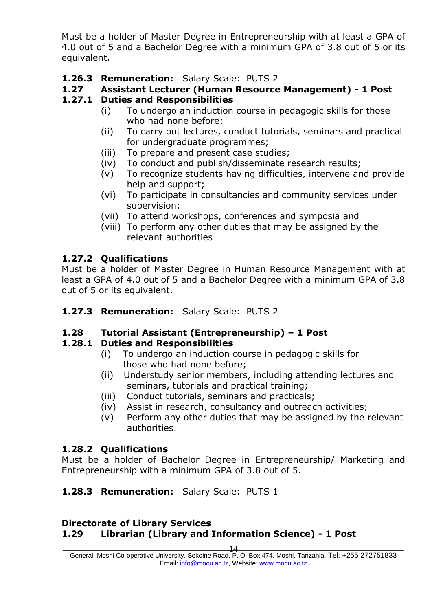Must be a holder of Master Degree in Entrepreneurship with at least a GPA of 4.0 out of 5 and a Bachelor Degree with a minimum GPA of 3.8 out of 5 or its equivalent.

#### **1.26.3 Remuneration:** Salary Scale: PUTS 2

## **1.27 Assistant Lecturer (Human Resource Management) - 1 Post**

## **1.27.1 Duties and Responsibilities**

- (i) To undergo an induction course in pedagogic skills for those who had none before;
- (ii) To carry out lectures, conduct tutorials, seminars and practical for undergraduate programmes;
- (iii) To prepare and present case studies;
- (iv) To conduct and publish/disseminate research results;
- (v) To recognize students having difficulties, intervene and provide help and support;
- (vi) To participate in consultancies and community services under supervision;
- (vii) To attend workshops, conferences and symposia and
- (viii) To perform any other duties that may be assigned by the relevant authorities

#### **1.27.2 Qualifications**

Must be a holder of Master Degree in Human Resource Management with at least a GPA of 4.0 out of 5 and a Bachelor Degree with a minimum GPA of 3.8 out of 5 or its equivalent.

#### **1.27.3 Remuneration:** Salary Scale: PUTS 2

#### **1.28 Tutorial Assistant (Entrepreneurship) – 1 Post**

#### **1.28.1 Duties and Responsibilities**

- (i) To undergo an induction course in pedagogic skills for those who had none before;
- (ii) Understudy senior members, including attending lectures and seminars, tutorials and practical training;
- (iii) Conduct tutorials, seminars and practicals;
- (iv) Assist in research, consultancy and outreach activities;
- (v) Perform any other duties that may be assigned by the relevant authorities.

#### **1.28.2 Qualifications**

Must be a holder of Bachelor Degree in Entrepreneurship/ Marketing and Entrepreneurship with a minimum GPA of 3.8 out of 5.

#### **1.28.3 Remuneration:** Salary Scale: PUTS 1

#### **Directorate of Library Services 1.29 Librarian (Library and Information Science) - 1 Post**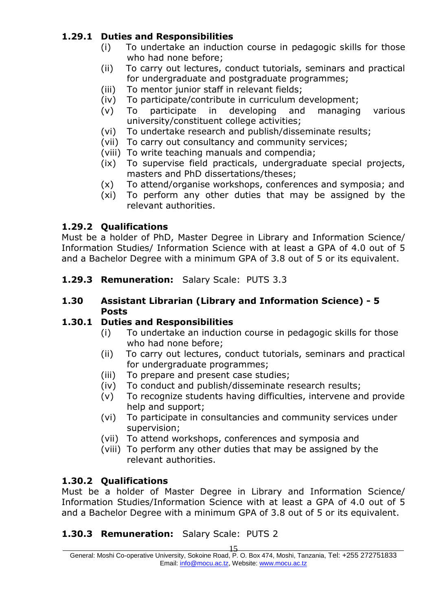## **1.29.1 Duties and Responsibilities**

- (i) To undertake an induction course in pedagogic skills for those who had none before;
- (ii) To carry out lectures, conduct tutorials, seminars and practical for undergraduate and postgraduate programmes;
- (iii) To mentor junior staff in relevant fields;
- (iv) To participate/contribute in curriculum development;
- (v) To participate in developing and managing various university/constituent college activities;
- (vi) To undertake research and publish/disseminate results;
- (vii) To carry out consultancy and community services;
- (viii) To write teaching manuals and compendia;
- (ix) To supervise field practicals, undergraduate special projects, masters and PhD dissertations/theses;
- (x) To attend/organise workshops, conferences and symposia; and
- (xi) To perform any other duties that may be assigned by the relevant authorities.

#### **1.29.2 Qualifications**

Must be a holder of PhD, Master Degree in Library and Information Science/ Information Studies/ Information Science with at least a GPA of 4.0 out of 5 and a Bachelor Degree with a minimum GPA of 3.8 out of 5 or its equivalent.

**1.29.3 Remuneration:** Salary Scale: PUTS 3.3

#### **1.30 Assistant Librarian (Library and Information Science) - 5 Posts**

#### **1.30.1 Duties and Responsibilities**

- (i) To undertake an induction course in pedagogic skills for those who had none before;
- (ii) To carry out lectures, conduct tutorials, seminars and practical for undergraduate programmes;
- (iii) To prepare and present case studies;
- (iv) To conduct and publish/disseminate research results;
- (v) To recognize students having difficulties, intervene and provide help and support;
- (vi) To participate in consultancies and community services under supervision;
- (vii) To attend workshops, conferences and symposia and
- (viii) To perform any other duties that may be assigned by the relevant authorities.

#### **1.30.2 Qualifications**

Must be a holder of Master Degree in Library and Information Science/ Information Studies/Information Science with at least a GPA of 4.0 out of 5 and a Bachelor Degree with a minimum GPA of 3.8 out of 5 or its equivalent.

## **1.30.3 Remuneration:** Salary Scale: PUTS 2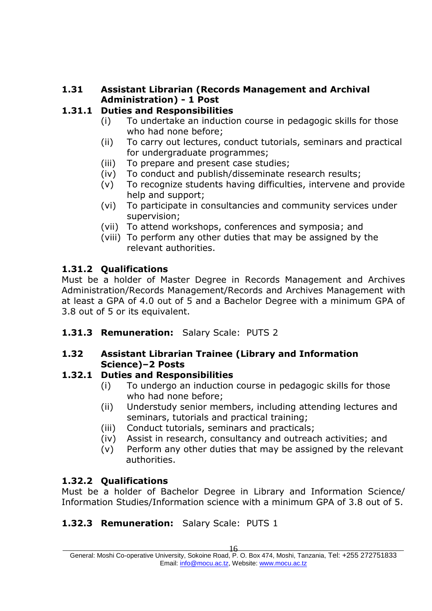#### **1.31 Assistant Librarian (Records Management and Archival Administration) - 1 Post**

## **1.31.1 Duties and Responsibilities**

- (i) To undertake an induction course in pedagogic skills for those who had none before;
- (ii) To carry out lectures, conduct tutorials, seminars and practical for undergraduate programmes;
- (iii) To prepare and present case studies;
- (iv) To conduct and publish/disseminate research results;
- (v) To recognize students having difficulties, intervene and provide help and support;
- (vi) To participate in consultancies and community services under supervision;
- (vii) To attend workshops, conferences and symposia; and
- (viii) To perform any other duties that may be assigned by the relevant authorities.

## **1.31.2 Qualifications**

Must be a holder of Master Degree in Records Management and Archives Administration/Records Management/Records and Archives Management with at least a GPA of 4.0 out of 5 and a Bachelor Degree with a minimum GPA of 3.8 out of 5 or its equivalent.

**1.31.3 Remuneration:** Salary Scale: PUTS 2

#### **1.32 Assistant Librarian Trainee (Library and Information Science)–2 Posts**

#### **1.32.1 Duties and Responsibilities**

- (i) To undergo an induction course in pedagogic skills for those who had none before;
- (ii) Understudy senior members, including attending lectures and seminars, tutorials and practical training;
- (iii) Conduct tutorials, seminars and practicals;
- (iv) Assist in research, consultancy and outreach activities; and
- (v) Perform any other duties that may be assigned by the relevant authorities.

## **1.32.2 Qualifications**

Must be a holder of Bachelor Degree in Library and Information Science/ Information Studies/Information science with a minimum GPA of 3.8 out of 5.

## **1.32.3 Remuneration:** Salary Scale: PUTS 1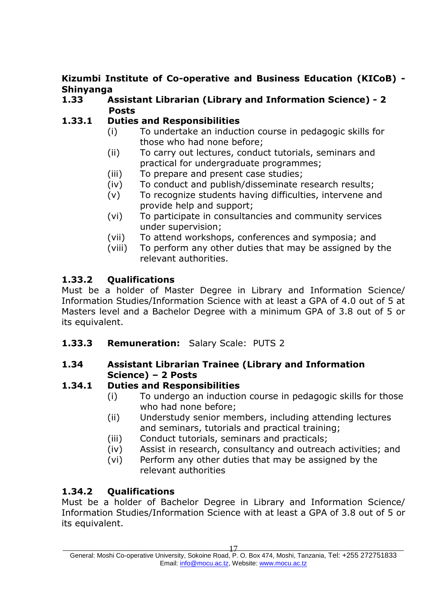## **Kizumbi Institute of Co-operative and Business Education (KICoB) - Shinyanga**

#### **1.33 Assistant Librarian (Library and Information Science) - 2 Posts**

## **1.33.1 Duties and Responsibilities**

- (i) To undertake an induction course in pedagogic skills for those who had none before;
- (ii) To carry out lectures, conduct tutorials, seminars and practical for undergraduate programmes;
- (iii) To prepare and present case studies;
- (iv) To conduct and publish/disseminate research results;
- (v) To recognize students having difficulties, intervene and provide help and support;
- (vi) To participate in consultancies and community services under supervision;
- (vii) To attend workshops, conferences and symposia; and
- (viii) To perform any other duties that may be assigned by the relevant authorities.

## **1.33.2 Qualifications**

Must be a holder of Master Degree in Library and Information Science/ Information Studies/Information Science with at least a GPA of 4.0 out of 5 at Masters level and a Bachelor Degree with a minimum GPA of 3.8 out of 5 or its equivalent.

**1.33.3 Remuneration:** Salary Scale: PUTS 2

#### **1.34 Assistant Librarian Trainee (Library and Information Science) – 2 Posts**

#### **1.34.1 Duties and Responsibilities**

- (i) To undergo an induction course in pedagogic skills for those who had none before;
- (ii) Understudy senior members, including attending lectures and seminars, tutorials and practical training;
- (iii) Conduct tutorials, seminars and practicals;
- (iv) Assist in research, consultancy and outreach activities; and
- (vi) Perform any other duties that may be assigned by the relevant authorities

#### **1.34.2 Qualifications**

Must be a holder of Bachelor Degree in Library and Information Science/ Information Studies/Information Science with at least a GPA of 3.8 out of 5 or its equivalent.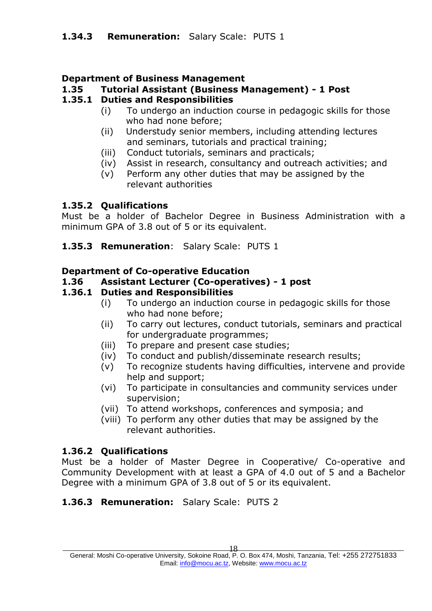#### **Department of Business Management**

#### **1.35 Tutorial Assistant (Business Management) - 1 Post**

#### **1.35.1 Duties and Responsibilities**

- (i) To undergo an induction course in pedagogic skills for those who had none before;
- (ii) Understudy senior members, including attending lectures and seminars, tutorials and practical training;
- (iii) Conduct tutorials, seminars and practicals;
- (iv) Assist in research, consultancy and outreach activities; and
- (v) Perform any other duties that may be assigned by the relevant authorities

#### **1.35.2 Qualifications**

Must be a holder of Bachelor Degree in Business Administration with a minimum GPA of 3.8 out of 5 or its equivalent.

#### **1.35.3 Remuneration**: Salary Scale: PUTS 1

#### **Department of Co-operative Education**

#### **1.36 Assistant Lecturer (Co-operatives) - 1 post**

#### **1.36.1 Duties and Responsibilities**

- (i) To undergo an induction course in pedagogic skills for those who had none before;
- (ii) To carry out lectures, conduct tutorials, seminars and practical for undergraduate programmes;
- (iii) To prepare and present case studies;
- (iv) To conduct and publish/disseminate research results;
- (v) To recognize students having difficulties, intervene and provide help and support;
- (vi) To participate in consultancies and community services under supervision;
- (vii) To attend workshops, conferences and symposia; and
- (viii) To perform any other duties that may be assigned by the relevant authorities.

#### **1.36.2 Qualifications**

Must be a holder of Master Degree in Cooperative/ Co-operative and Community Development with at least a GPA of 4.0 out of 5 and a Bachelor Degree with a minimum GPA of 3.8 out of 5 or its equivalent.

#### **1.36.3 Remuneration:** Salary Scale: PUTS 2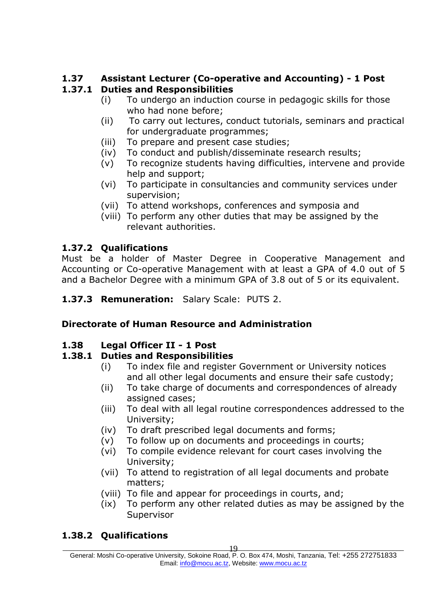# **1.37 Assistant Lecturer (Co-operative and Accounting) - 1 Post**

# **1.37.1 Duties and Responsibilities**

- (i) To undergo an induction course in pedagogic skills for those who had none before;
- (ii) To carry out lectures, conduct tutorials, seminars and practical for undergraduate programmes;
- (iii) To prepare and present case studies;
- (iv) To conduct and publish/disseminate research results;
- (v) To recognize students having difficulties, intervene and provide help and support;
- (vi) To participate in consultancies and community services under supervision;
- (vii) To attend workshops, conferences and symposia and
- (viii) To perform any other duties that may be assigned by the relevant authorities.

# **1.37.2 Qualifications**

Must be a holder of Master Degree in Cooperative Management and Accounting or Co-operative Management with at least a GPA of 4.0 out of 5 and a Bachelor Degree with a minimum GPA of 3.8 out of 5 or its equivalent.

**1.37.3 Remuneration:** Salary Scale: PUTS 2.

# **Directorate of Human Resource and Administration**

## **1.38 Legal Officer II - 1 Post**

## **1.38.1 Duties and Responsibilities**

- (i) To index file and register Government or University notices and all other legal documents and ensure their safe custody;
- (ii) To take charge of documents and correspondences of already assigned cases;
- (iii) To deal with all legal routine correspondences addressed to the University;
- (iv) To draft prescribed legal documents and forms;
- (v) To follow up on documents and proceedings in courts;
- (vi) To compile evidence relevant for court cases involving the University;
- (vii) To attend to registration of all legal documents and probate matters;
- (viii) To file and appear for proceedings in courts, and;
- (ix) To perform any other related duties as may be assigned by the Supervisor

# **1.38.2 Qualifications**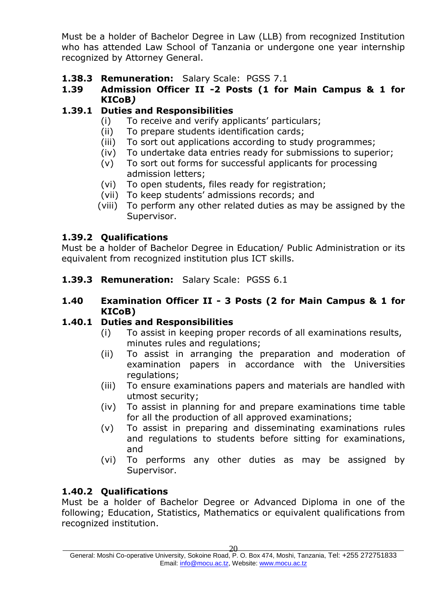Must be a holder of Bachelor Degree in Law (LLB) from recognized Institution who has attended Law School of Tanzania or undergone one year internship recognized by Attorney General.

**1.38.3 Remuneration:** Salary Scale: PGSS 7.1

#### **1.39 Admission Officer II -2 Posts (1 for Main Campus & 1 for KICoB***)*

## **1.39.1 Duties and Responsibilities**

- (i) To receive and verify applicants' particulars;
- (ii) To prepare students identification cards;
- (iii) To sort out applications according to study programmes;
- (iv) To undertake data entries ready for submissions to superior;
- (v) To sort out forms for successful applicants for processing admission letters;
- (vi) To open students, files ready for registration;
- (vii) To keep students' admissions records; and
- (viii) To perform any other related duties as may be assigned by the Supervisor.

#### **1.39.2 Qualifications**

Must be a holder of Bachelor Degree in Education/ Public Administration or its equivalent from recognized institution plus ICT skills.

**1.39.3 Remuneration:** Salary Scale: PGSS 6.1

#### **1.40 Examination Officer II - 3 Posts (2 for Main Campus & 1 for KICoB)**

#### **1.40.1 Duties and Responsibilities**

- (i) To assist in keeping proper records of all examinations results, minutes rules and regulations;
- (ii) To assist in arranging the preparation and moderation of examination papers in accordance with the Universities regulations;
- (iii) To ensure examinations papers and materials are handled with utmost security;
- (iv) To assist in planning for and prepare examinations time table for all the production of all approved examinations;
- (v) To assist in preparing and disseminating examinations rules and regulations to students before sitting for examinations, and
- (vi) To performs any other duties as may be assigned by Supervisor.

#### **1.40.2 Qualifications**

Must be a holder of Bachelor Degree or Advanced Diploma in one of the following; Education, Statistics, Mathematics or equivalent qualifications from recognized institution.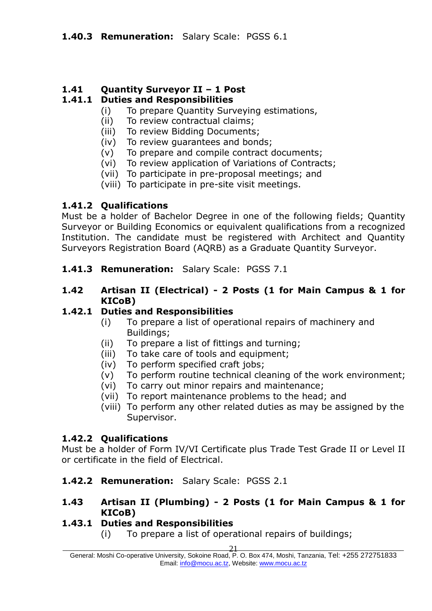#### **1.41 Quantity Surveyor II – 1 Post**

#### **1.41.1 Duties and Responsibilities**

- (i) To prepare Quantity Surveying estimations,
- (ii) To review contractual claims;
- (iii) To review Bidding Documents;
- (iv) To review guarantees and bonds;
- (v) To prepare and compile contract documents;
- (vi) To review application of Variations of Contracts;
- (vii) To participate in pre-proposal meetings; and
- (viii) To participate in pre-site visit meetings.

#### **1.41.2 Qualifications**

Must be a holder of Bachelor Degree in one of the following fields; Quantity Surveyor or Building Economics or equivalent qualifications from a recognized Institution. The candidate must be registered with Architect and Quantity Surveyors Registration Board (AQRB) as a Graduate Quantity Surveyor.

- **1.41.3 Remuneration:** Salary Scale: PGSS 7.1
- **1.42 Artisan II (Electrical) - 2 Posts (1 for Main Campus & 1 for KICoB)**

#### **1.42.1 Duties and Responsibilities**

- (i) To prepare a list of operational repairs of machinery and Buildings;
- (ii) To prepare a list of fittings and turning;
- (iii) To take care of tools and equipment;
- (iv) To perform specified craft jobs;
- (v) To perform routine technical cleaning of the work environment;
- (vi) To carry out minor repairs and maintenance;
- (vii) To report maintenance problems to the head; and
- (viii) To perform any other related duties as may be assigned by the Supervisor.

#### **1.42.2 Qualifications**

Must be a holder of Form IV/VI Certificate plus Trade Test Grade II or Level II or certificate in the field of Electrical.

**1.42.2 Remuneration:** Salary Scale: PGSS 2.1

#### **1.43 Artisan II (Plumbing) - 2 Posts (1 for Main Campus & 1 for KICoB)**

#### **1.43.1 Duties and Responsibilities**

(i) To prepare a list of operational repairs of buildings;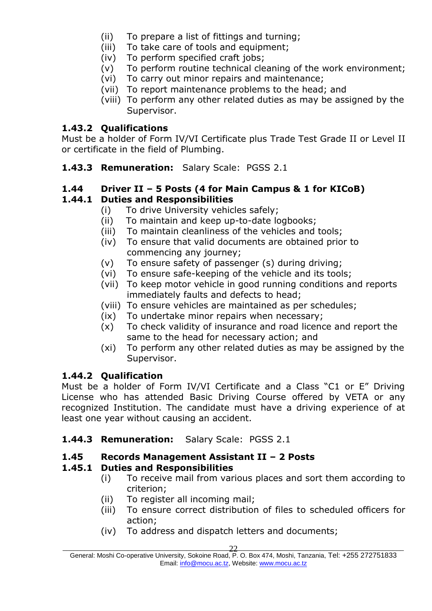- (ii) To prepare a list of fittings and turning;
- (iii) To take care of tools and equipment;
- (iv) To perform specified craft jobs;
- (v) To perform routine technical cleaning of the work environment;
- (vi) To carry out minor repairs and maintenance;
- (vii) To report maintenance problems to the head; and
- (viii) To perform any other related duties as may be assigned by the Supervisor.

#### **1.43.2 Qualifications**

Must be a holder of Form IV/VI Certificate plus Trade Test Grade II or Level II or certificate in the field of Plumbing.

**1.43.3 Remuneration:** Salary Scale: PGSS 2.1

#### **1.44 Driver II – 5 Posts (4 for Main Campus & 1 for KICoB)**

#### **1.44.1 Duties and Responsibilities**

- (i) To drive University vehicles safely;
- (ii) To maintain and keep up-to-date logbooks;
- (iii) To maintain cleanliness of the vehicles and tools;
- (iv) To ensure that valid documents are obtained prior to commencing any journey;
- (v) To ensure safety of passenger (s) during driving;
- (vi) To ensure safe-keeping of the vehicle and its tools;
- (vii) To keep motor vehicle in good running conditions and reports immediately faults and defects to head;
- (viii) To ensure vehicles are maintained as per schedules;
- (ix) To undertake minor repairs when necessary;
- (x) To check validity of insurance and road licence and report the same to the head for necessary action; and
- (xi) To perform any other related duties as may be assigned by the Supervisor.

#### **1.44.2 Qualification**

Must be a holder of Form IV/VI Certificate and a Class "C1 or E" Driving License who has attended Basic Driving Course offered by VETA or any recognized Institution. The candidate must have a driving experience of at least one year without causing an accident.

#### **1.44.3 Remuneration:** Salary Scale: PGSS 2.1

#### **1.45 Records Management Assistant II – 2 Posts**

#### **1.45.1 Duties and Responsibilities**

- (i) To receive mail from various places and sort them according to criterion;
- (ii) To register all incoming mail;
- (iii) To ensure correct distribution of files to scheduled officers for action;
- (iv) To address and dispatch letters and documents;

General: Moshi Co-operative University, Sokoine Road, P. O. Box 474, Moshi, Tanzania, Tel: +255 272751833 Email: [info@mocu.ac.tz,](mailto:info@mocu.ac.tz) Website[: www.mocu.ac.tz](http://www.mocu.ac.tz/)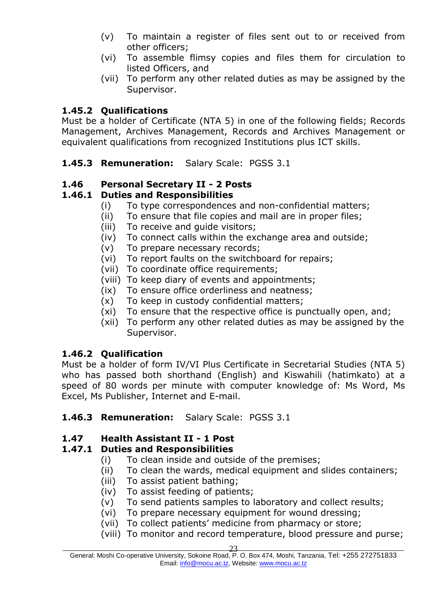- (v) To maintain a register of files sent out to or received from other officers;
- (vi) To assemble flimsy copies and files them for circulation to listed Officers, and
- (vii) To perform any other related duties as may be assigned by the Supervisor.

#### **1.45.2 Qualifications**

Must be a holder of Certificate (NTA 5) in one of the following fields; Records Management, Archives Management, Records and Archives Management or equivalent qualifications from recognized Institutions plus ICT skills.

**1.45.3 Remuneration:** Salary Scale: PGSS 3.1

#### **1.46 Personal Secretary II - 2 Posts**

#### **1.46.1 Duties and Responsibilities**

- (i) To type correspondences and non-confidential matters;
- (ii) To ensure that file copies and mail are in proper files;
- (iii) To receive and guide visitors;
- (iv) To connect calls within the exchange area and outside;
- (v) To prepare necessary records;
- (vi) To report faults on the switchboard for repairs;
- (vii) To coordinate office requirements;
- (viii) To keep diary of events and appointments;
- (ix) To ensure office orderliness and neatness;
- (x) To keep in custody confidential matters;
- (xi) To ensure that the respective office is punctually open, and;
- (xii) To perform any other related duties as may be assigned by the Supervisor.

#### **1.46.2 Qualification**

Must be a holder of form IV/VI Plus Certificate in Secretarial Studies (NTA 5) who has passed both shorthand (English) and Kiswahili (hatimkato) at a speed of 80 words per minute with computer knowledge of: Ms Word, Ms Excel, Ms Publisher, Internet and E-mail.

#### **1.46.3 Remuneration:** Salary Scale: PGSS 3.1

#### **1.47 Health Assistant II - 1 Post**

#### **1.47.1 Duties and Responsibilities**

- (i) To clean inside and outside of the premises;
- (ii) To clean the wards, medical equipment and slides containers;
- (iii) To assist patient bathing;
- (iv) To assist feeding of patients;
- (v) To send patients samples to laboratory and collect results;
- (vi) To prepare necessary equipment for wound dressing;
- (vii) To collect patients' medicine from pharmacy or store;
- (viii) To monitor and record temperature, blood pressure and purse;

<sup>23</sup>

\_\_\_\_\_\_\_\_\_\_\_\_\_\_\_\_\_\_\_\_\_\_\_\_\_\_\_\_\_\_\_\_\_\_\_\_\_\_\_\_\_\_\_\_\_\_\_\_\_\_\_\_\_\_\_\_\_\_\_\_\_\_\_\_\_\_\_\_\_\_\_\_\_\_\_\_\_\_\_\_\_\_\_\_\_\_\_\_\_\_\_\_\_\_ General: Moshi Co-operative University, Sokoine Road, P. O. Box 474, Moshi, Tanzania, Tel: +255 272751833 Email: [info@mocu.ac.tz,](mailto:info@mocu.ac.tz) Website[: www.mocu.ac.tz](http://www.mocu.ac.tz/)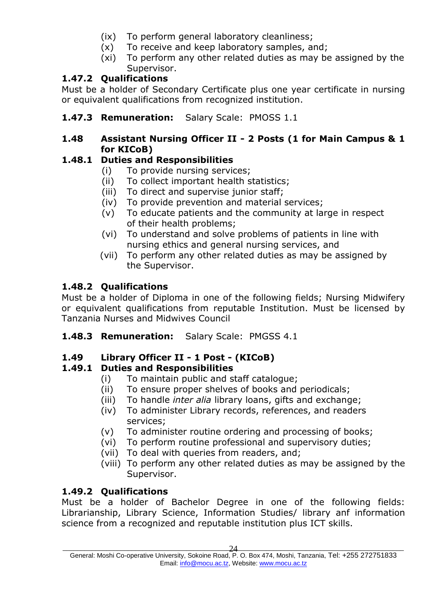- (ix) To perform general laboratory cleanliness;
- (x) To receive and keep laboratory samples, and;
- (xi) To perform any other related duties as may be assigned by the Supervisor.

## **1.47.2 Qualifications**

Must be a holder of Secondary Certificate plus one year certificate in nursing or equivalent qualifications from recognized institution.

**1.47.3 Remuneration:** Salary Scale:PMOSS 1.1

#### **1.48 Assistant Nursing Officer II - 2 Posts (1 for Main Campus & 1 for KICoB)**

## **1.48.1 Duties and Responsibilities**

- (i) To provide nursing services;
- (ii) To collect important health statistics;
- (iii) To direct and supervise junior staff;
- (iv) To provide prevention and material services;
- (v) To educate patients and the community at large in respect of their health problems;
- (vi) To understand and solve problems of patients in line with nursing ethics and general nursing services, and
- (vii) To perform any other related duties as may be assigned by the Supervisor.

## **1.48.2 Qualifications**

Must be a holder of Diploma in one of the following fields; Nursing Midwifery or equivalent qualifications from reputable Institution. Must be licensed by Tanzania Nurses and Midwives Council

**1.48.3 Remuneration:** Salary Scale:PMGSS 4.1

## **1.49 Library Officer II - 1 Post - (KICoB)**

## **1.49.1 Duties and Responsibilities**

- (i) To maintain public and staff catalogue;
- (ii) To ensure proper shelves of books and periodicals;
- (iii) To handle *inter alia* library loans, gifts and exchange;
- (iv) To administer Library records, references, and readers services;
- (v) To administer routine ordering and processing of books;
- (vi) To perform routine professional and supervisory duties;
- (vii) To deal with queries from readers, and;
- (viii) To perform any other related duties as may be assigned by the Supervisor.

## **1.49.2 Qualifications**

Must be a holder of Bachelor Degree in one of the following fields: Librarianship, Library Science, Information Studies/ library anf information science from a recognized and reputable institution plus ICT skills.

General: Moshi Co-operative University, Sokoine Road, P. O. Box 474, Moshi, Tanzania, Tel: +255 272751833 Email: [info@mocu.ac.tz,](mailto:info@mocu.ac.tz) Website[: www.mocu.ac.tz](http://www.mocu.ac.tz/)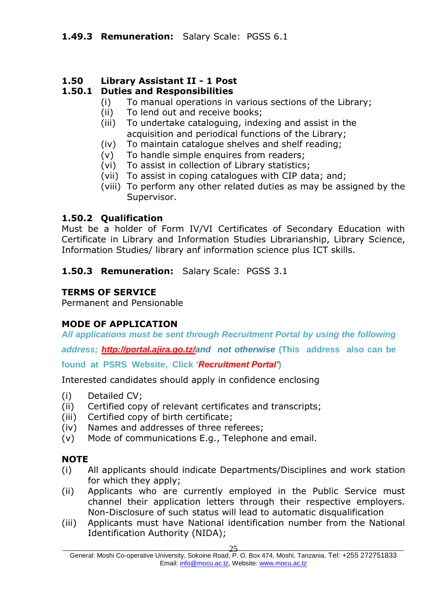#### **1.50 Library Assistant II - 1 Post**

#### **1.50.1 Duties and Responsibilities**

- (i) To manual operations in various sections of the Library;
- (ii) To lend out and receive books;
- (iii) To undertake cataloguing, indexing and assist in the acquisition and periodical functions of the Library;
- (iv) To maintain catalogue shelves and shelf reading;
- (v) To handle simple enquires from readers;
- (vi) To assist in collection of Library statistics;
- (vii) To assist in coping catalogues with CIP data; and;
- (viii) To perform any other related duties as may be assigned by the Supervisor.

#### **1.50.2 Qualification**

Must be a holder of Form IV/VI Certificates of Secondary Education with Certificate in Library and Information Studies Librarianship, Library Science, Information Studies/ library anf information science plus ICT skills.

**1.50.3 Remuneration:** Salary Scale: PGSS 3.1

#### **TERMS OF SERVICE**

Permanent and Pensionable

#### **MODE OF APPLICATION**

*All applications must be sent through Recruitment Portal by using the following* 

*address; [http://portal.ajira.go.tz/a](http://portal.ajira.go.tz/)nd not otherwise* **(This address also can be** 

**found at PSRS Website, Click** *'Recruitment Portal'***)** 

Interested candidates should apply in confidence enclosing

- (i) Detailed CV;
- (ii) Certified copy of relevant certificates and transcripts;
- (iii) Certified copy of birth certificate;
- (iv) Names and addresses of three referees;
- (v) Mode of communications E.g., Telephone and email.

#### **NOTE**

- (i) All applicants should indicate Departments/Disciplines and work station for which they apply;
- (ii) Applicants who are currently employed in the Public Service must channel their application letters through their respective employers. Non-Disclosure of such status will lead to automatic disqualification
- (iii) Applicants must have National identification number from the National Identification Authority (NIDA);

General: Moshi Co-operative University, Sokoine Road, P. O. Box 474, Moshi, Tanzania, Tel: +255 272751833 Email: [info@mocu.ac.tz,](mailto:info@mocu.ac.tz) Website[: www.mocu.ac.tz](http://www.mocu.ac.tz/)